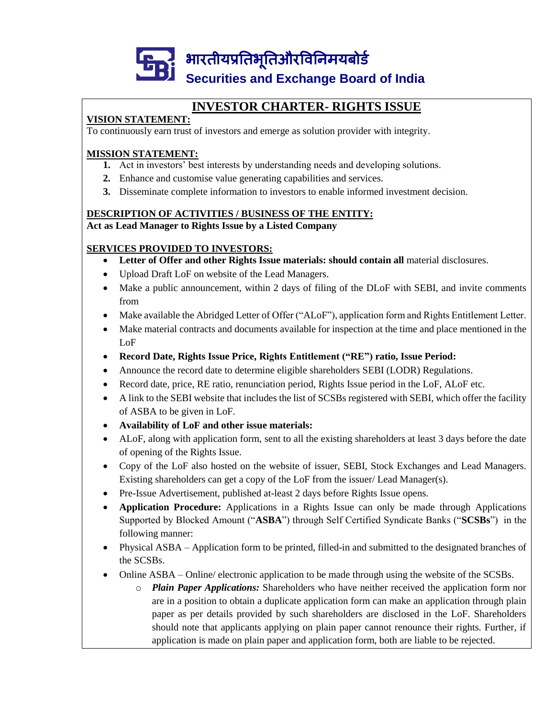

### **INVESTOR CHARTER- RIGHTS ISSUE**

### **VISION STATEMENT:**

To continuously earn trust of investors and emerge as solution provider with integrity.

#### **MISSION STATEMENT:**

- **1.** Act in investors' best interests by understanding needs and developing solutions.
- **2.** Enhance and customise value generating capabilities and services.
- **3.** Disseminate complete information to investors to enable informed investment decision.

#### **DESCRIPTION OF ACTIVITIES / BUSINESS OF THE ENTITY: Act as Lead Manager to Rights Issue by a Listed Company**

### **SERVICES PROVIDED TO INVESTORS:**

- **Letter of Offer and other Rights Issue materials: should contain all** material disclosures.
- Upload Draft LoF on website of the Lead Managers.
- Make a public announcement, within 2 days of filing of the DLoF with SEBI, and invite comments from
- Make available the Abridged Letter of Offer ("ALoF"), application form and Rights Entitlement Letter.
- Make material contracts and documents available for inspection at the time and place mentioned in the LoF
- **Record Date, Rights Issue Price, Rights Entitlement ("RE") ratio, Issue Period:**
- Announce the record date to determine eligible shareholders SEBI (LODR) Regulations.
- Record date, price, RE ratio, renunciation period, Rights Issue period in the LoF, ALoF etc.
- A link to the SEBI website that includes the list of SCSBs registered with SEBI, which offer the facility of ASBA to be given in LoF.
- **Availability of LoF and other issue materials:**
- ALoF, along with application form, sent to all the existing shareholders at least 3 days before the date of opening of the Rights Issue.
- Copy of the LoF also hosted on the website of issuer, SEBI, Stock Exchanges and Lead Managers. Existing shareholders can get a copy of the LoF from the issuer/ Lead Manager(s).
- Pre-Issue Advertisement, published at-least 2 days before Rights Issue opens.
- **Application Procedure:** Applications in a Rights Issue can only be made through Applications Supported by Blocked Amount ("**ASBA**") through Self Certified Syndicate Banks ("**SCSBs**") in the following manner:
- Physical ASBA Application form to be printed, filled-in and submitted to the designated branches of the SCSBs.
- Online ASBA Online/ electronic application to be made through using the website of the SCSBs.
	- o *Plain Paper Applications:* Shareholders who have neither received the application form nor are in a position to obtain a duplicate application form can make an application through plain paper as per details provided by such shareholders are disclosed in the LoF. Shareholders should note that applicants applying on plain paper cannot renounce their rights. Further, if application is made on plain paper and application form, both are liable to be rejected.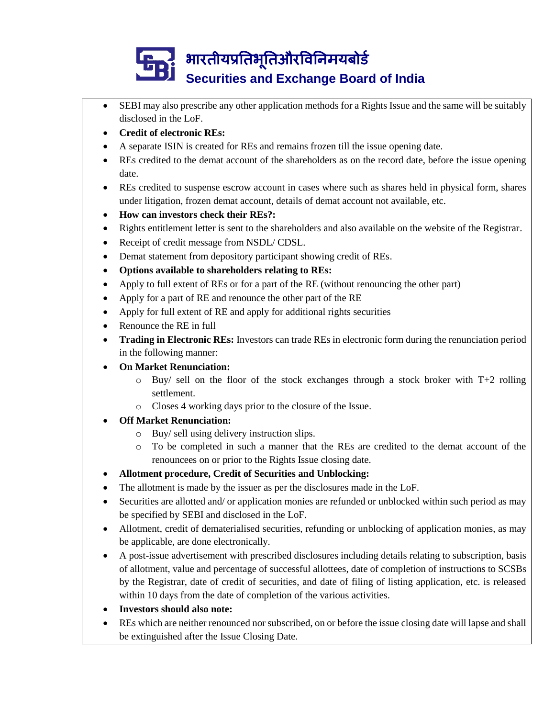- SEBI may also prescribe any other application methods for a Rights Issue and the same will be suitably disclosed in the LoF.
- **Credit of electronic REs:**
- A separate ISIN is created for REs and remains frozen till the issue opening date.
- REs credited to the demat account of the shareholders as on the record date, before the issue opening date.
- REs credited to suspense escrow account in cases where such as shares held in physical form, shares under litigation, frozen demat account, details of demat account not available, etc.
- **How can investors check their REs?:**
- Rights entitlement letter is sent to the shareholders and also available on the website of the Registrar.
- Receipt of credit message from NSDL/ CDSL.
- Demat statement from depository participant showing credit of REs.
- **Options available to shareholders relating to REs:**
- Apply to full extent of REs or for a part of the RE (without renouncing the other part)
- Apply for a part of RE and renounce the other part of the RE
- Apply for full extent of RE and apply for additional rights securities
- Renounce the RE in full
- **Trading in Electronic REs:** Investors can trade REs in electronic form during the renunciation period in the following manner:
- **On Market Renunciation:**
	- $\circ$  Buy/ sell on the floor of the stock exchanges through a stock broker with T+2 rolling settlement.
	- o Closes 4 working days prior to the closure of the Issue.
- **Off Market Renunciation:**
	- o Buy/ sell using delivery instruction slips.
	- o To be completed in such a manner that the REs are credited to the demat account of the renouncees on or prior to the Rights Issue closing date.
- **Allotment procedure, Credit of Securities and Unblocking:**
- The allotment is made by the issuer as per the disclosures made in the LoF.
- Securities are allotted and/ or application monies are refunded or unblocked within such period as may be specified by SEBI and disclosed in the LoF.
- Allotment, credit of dematerialised securities, refunding or unblocking of application monies, as may be applicable, are done electronically.
- A post-issue advertisement with prescribed disclosures including details relating to subscription, basis of allotment, value and percentage of successful allottees, date of completion of instructions to SCSBs by the Registrar, date of credit of securities, and date of filing of listing application, etc. is released within 10 days from the date of completion of the various activities.
- **Investors should also note:**
- REs which are neither renounced nor subscribed, on or before the issue closing date will lapse and shall be extinguished after the Issue Closing Date.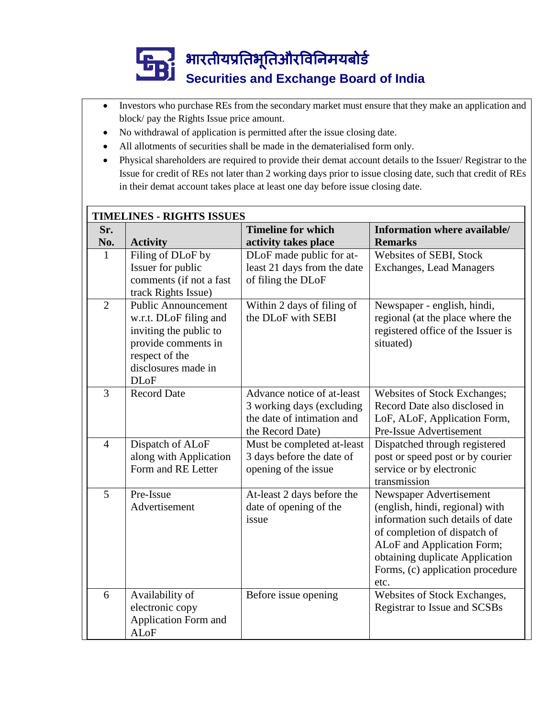- Investors who purchase REs from the secondary market must ensure that they make an application and block/ pay the Rights Issue price amount.
- No withdrawal of application is permitted after the issue closing date.
- All allotments of securities shall be made in the dematerialised form only.
- Physical shareholders are required to provide their demat account details to the Issuer/ Registrar to the Issue for credit of REs not later than 2 working days prior to issue closing date, such that credit of REs in their demat account takes place at least one day before issue closing date.

| <b>TIMELINES - RIGHTS ISSUES</b> |                                                                                                                                                               |                                                                                                           |                                                                                                                                                                                                                                             |  |  |  |  |
|----------------------------------|---------------------------------------------------------------------------------------------------------------------------------------------------------------|-----------------------------------------------------------------------------------------------------------|---------------------------------------------------------------------------------------------------------------------------------------------------------------------------------------------------------------------------------------------|--|--|--|--|
| Sr.                              |                                                                                                                                                               | <b>Timeline for which</b>                                                                                 | Information where available/                                                                                                                                                                                                                |  |  |  |  |
| No.                              | <b>Activity</b>                                                                                                                                               | activity takes place                                                                                      | <b>Remarks</b>                                                                                                                                                                                                                              |  |  |  |  |
| $\mathbf{1}$                     | Filing of DLoF by<br>Issuer for public<br>comments (if not a fast<br>track Rights Issue)                                                                      | DLoF made public for at-<br>least 21 days from the date<br>of filing the DLoF                             | Websites of SEBI, Stock<br><b>Exchanges, Lead Managers</b>                                                                                                                                                                                  |  |  |  |  |
| $\overline{2}$                   | <b>Public Announcement</b><br>w.r.t. DLoF filing and<br>inviting the public to<br>provide comments in<br>respect of the<br>disclosures made in<br><b>DLoF</b> | Within 2 days of filing of<br>the DLoF with SEBI                                                          | Newspaper - english, hindi,<br>regional (at the place where the<br>registered office of the Issuer is<br>situated)                                                                                                                          |  |  |  |  |
| 3                                | <b>Record Date</b>                                                                                                                                            | Advance notice of at-least<br>3 working days (excluding<br>the date of intimation and<br>the Record Date) | Websites of Stock Exchanges;<br>Record Date also disclosed in<br>LoF, ALoF, Application Form,<br>Pre-Issue Advertisement                                                                                                                    |  |  |  |  |
| $\overline{4}$                   | Dispatch of ALoF<br>along with Application<br>Form and RE Letter                                                                                              | Must be completed at-least<br>3 days before the date of<br>opening of the issue                           | Dispatched through registered<br>post or speed post or by courier<br>service or by electronic<br>transmission                                                                                                                               |  |  |  |  |
| 5                                | Pre-Issue<br>Advertisement                                                                                                                                    | At-least 2 days before the<br>date of opening of the<br>issue                                             | Newspaper Advertisement<br>(english, hindi, regional) with<br>information such details of date<br>of completion of dispatch of<br>ALoF and Application Form;<br>obtaining duplicate Application<br>Forms, (c) application procedure<br>etc. |  |  |  |  |
| 6                                | Availability of<br>electronic copy<br>Application Form and<br><b>ALoF</b>                                                                                     | Before issue opening                                                                                      | Websites of Stock Exchanges,<br>Registrar to Issue and SCSBs                                                                                                                                                                                |  |  |  |  |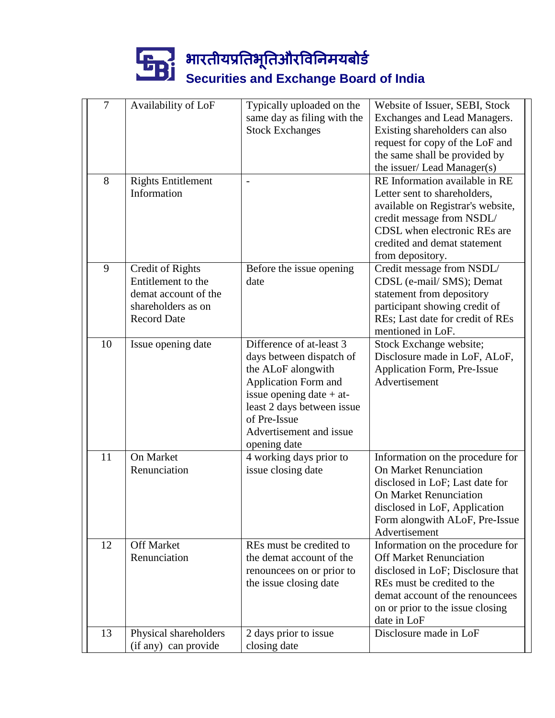| $\overline{7}$ | Availability of LoF                                                                                               | Typically uploaded on the<br>same day as filing with the<br><b>Stock Exchanges</b>                                                                                                                                               | Website of Issuer, SEBI, Stock<br>Exchanges and Lead Managers.<br>Existing shareholders can also<br>request for copy of the LoF and<br>the same shall be provided by<br>the issuer/ Lead Manager(s)                          |
|----------------|-------------------------------------------------------------------------------------------------------------------|----------------------------------------------------------------------------------------------------------------------------------------------------------------------------------------------------------------------------------|------------------------------------------------------------------------------------------------------------------------------------------------------------------------------------------------------------------------------|
| 8              | <b>Rights Entitlement</b><br>Information                                                                          |                                                                                                                                                                                                                                  | RE Information available in RE<br>Letter sent to shareholders,<br>available on Registrar's website,<br>credit message from NSDL/<br>CDSL when electronic REs are<br>credited and demat statement<br>from depository.         |
| 9              | <b>Credit of Rights</b><br>Entitlement to the<br>demat account of the<br>shareholders as on<br><b>Record Date</b> | Before the issue opening<br>date                                                                                                                                                                                                 | Credit message from NSDL/<br>CDSL (e-mail/ SMS); Demat<br>statement from depository<br>participant showing credit of<br>REs; Last date for credit of REs<br>mentioned in LoF.                                                |
| 10             | Issue opening date                                                                                                | Difference of at-least 3<br>days between dispatch of<br>the ALoF alongwith<br><b>Application Form and</b><br>issue opening date $+$ at-<br>least 2 days between issue<br>of Pre-Issue<br>Advertisement and issue<br>opening date | Stock Exchange website;<br>Disclosure made in LoF, ALoF,<br>Application Form, Pre-Issue<br>Advertisement                                                                                                                     |
| 11             | On Market<br>Renunciation                                                                                         | 4 working days prior to<br>issue closing date                                                                                                                                                                                    | Information on the procedure for<br><b>On Market Renunciation</b><br>disclosed in LoF; Last date for<br><b>On Market Renunciation</b><br>disclosed in LoF, Application<br>Form alongwith ALoF, Pre-Issue<br>Advertisement    |
| 12             | <b>Off Market</b><br>Renunciation                                                                                 | REs must be credited to<br>the demat account of the<br>renouncees on or prior to<br>the issue closing date                                                                                                                       | Information on the procedure for<br><b>Off Market Renunciation</b><br>disclosed in LoF; Disclosure that<br>REs must be credited to the<br>demat account of the renouncees<br>on or prior to the issue closing<br>date in LoF |
| 13             | Physical shareholders<br>(if any) can provide                                                                     | 2 days prior to issue<br>closing date                                                                                                                                                                                            | Disclosure made in LoF                                                                                                                                                                                                       |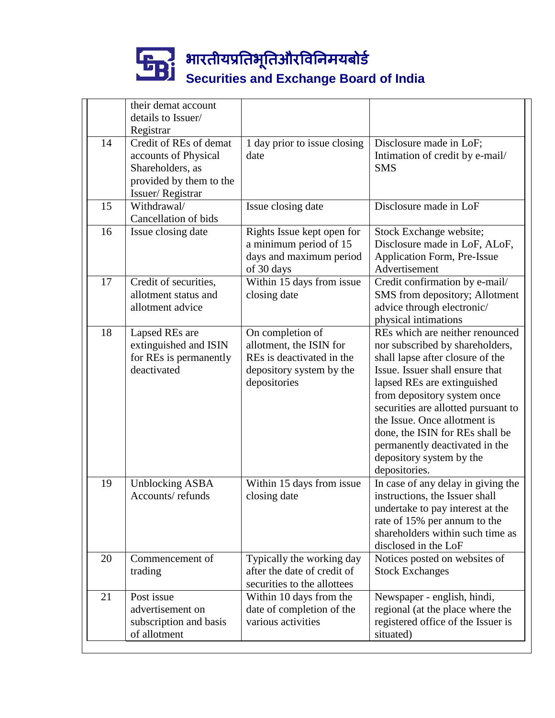|    | their demat account<br>details to Issuer/      |                                       |                                                                  |
|----|------------------------------------------------|---------------------------------------|------------------------------------------------------------------|
|    | Registrar                                      |                                       |                                                                  |
| 14 | Credit of REs of demat<br>accounts of Physical | 1 day prior to issue closing<br>date  | Disclosure made in LoF;<br>Intimation of credit by e-mail/       |
|    | Shareholders, as                               |                                       | <b>SMS</b>                                                       |
|    | provided by them to the<br>Issuer/Registrar    |                                       |                                                                  |
| 15 | Withdrawal/                                    | Issue closing date                    | Disclosure made in LoF                                           |
|    | Cancellation of bids                           |                                       |                                                                  |
| 16 | Issue closing date                             | Rights Issue kept open for            | Stock Exchange website;                                          |
|    |                                                | a minimum period of 15                | Disclosure made in LoF, ALoF,                                    |
|    |                                                | days and maximum period<br>of 30 days | Application Form, Pre-Issue<br>Advertisement                     |
| 17 | Credit of securities,                          | Within 15 days from issue             | Credit confirmation by e-mail/                                   |
|    | allotment status and                           | closing date                          | SMS from depository; Allotment                                   |
|    | allotment advice                               |                                       | advice through electronic/                                       |
|    |                                                |                                       | physical intimations                                             |
| 18 | Lapsed REs are                                 | On completion of                      | REs which are neither renounced                                  |
|    | extinguished and ISIN                          | allotment, the ISIN for               | nor subscribed by shareholders,                                  |
|    | for REs is permanently                         | REs is deactivated in the             | shall lapse after closure of the                                 |
|    | deactivated                                    | depository system by the              | Issue. Issuer shall ensure that                                  |
|    |                                                | depositories                          | lapsed REs are extinguished                                      |
|    |                                                |                                       | from depository system once                                      |
|    |                                                |                                       | securities are allotted pursuant to                              |
|    |                                                |                                       | the Issue. Once allotment is                                     |
|    |                                                |                                       | done, the ISIN for REs shall be                                  |
|    |                                                |                                       | permanently deactivated in the                                   |
|    |                                                |                                       | depository system by the                                         |
|    |                                                |                                       | depositories.                                                    |
| 19 | <b>Unblocking ASBA</b>                         | Within 15 days from issue             | In case of any delay in giving the                               |
|    | Accounts/refunds                               | closing date                          | instructions, the Issuer shall                                   |
|    |                                                |                                       | undertake to pay interest at the<br>rate of 15% per annum to the |
|    |                                                |                                       | shareholders within such time as                                 |
|    |                                                |                                       | disclosed in the LoF                                             |
| 20 | Commencement of                                | Typically the working day             | Notices posted on websites of                                    |
|    | trading                                        | after the date of credit of           | <b>Stock Exchanges</b>                                           |
|    |                                                | securities to the allottees           |                                                                  |
| 21 | Post issue                                     | Within 10 days from the               | Newspaper - english, hindi,                                      |
|    | advertisement on                               | date of completion of the             | regional (at the place where the                                 |
|    | subscription and basis                         | various activities                    | registered office of the Issuer is                               |
|    | of allotment                                   |                                       | situated)                                                        |
|    |                                                |                                       |                                                                  |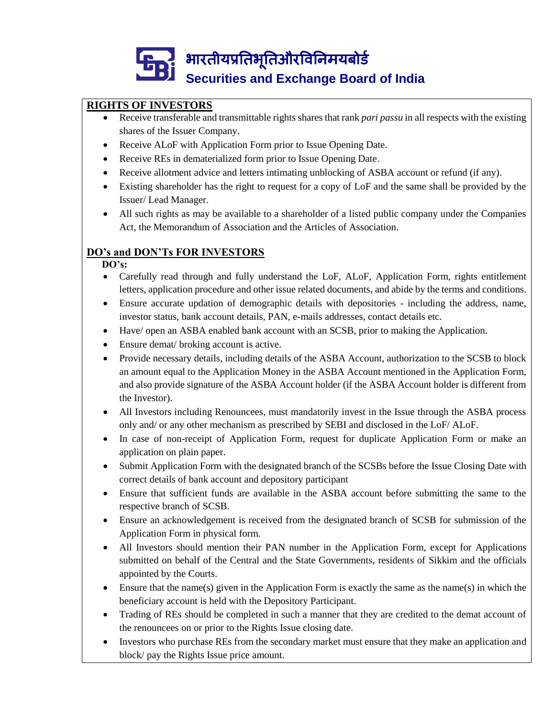### **RIGHTS OF INVESTORS**

- Receive transferable and transmittable rights shares that rank *pari passu* in all respects with the existing shares of the Issuer Company.
- Receive ALoF with Application Form prior to Issue Opening Date.
- Receive REs in dematerialized form prior to Issue Opening Date.
- Receive allotment advice and letters intimating unblocking of ASBA account or refund (if any).
- Existing shareholder has the right to request for a copy of LoF and the same shall be provided by the Issuer/ Lead Manager.
- All such rights as may be available to a shareholder of a listed public company under the Companies Act, the Memorandum of Association and the Articles of Association.

### **DO's and DON'Ts FOR INVESTORS**

#### **DO's:**

- Carefully read through and fully understand the LoF, ALoF, Application Form, rights entitlement letters, application procedure and other issue related documents, and abide by the terms and conditions.
- Ensure accurate updation of demographic details with depositories including the address, name, investor status, bank account details, PAN, e-mails addresses, contact details etc.
- Have/ open an ASBA enabled bank account with an SCSB, prior to making the Application.
- Ensure demat/ broking account is active.
- Provide necessary details, including details of the ASBA Account, authorization to the SCSB to block an amount equal to the Application Money in the ASBA Account mentioned in the Application Form, and also provide signature of the ASBA Account holder (if the ASBA Account holder is different from the Investor).
- All Investors including Renouncees, must mandatorily invest in the Issue through the ASBA process only and/ or any other mechanism as prescribed by SEBI and disclosed in the LoF/ ALoF.
- In case of non-receipt of Application Form, request for duplicate Application Form or make an application on plain paper.
- Submit Application Form with the designated branch of the SCSBs before the Issue Closing Date with correct details of bank account and depository participant
- Ensure that sufficient funds are available in the ASBA account before submitting the same to the respective branch of SCSB.
- Ensure an acknowledgement is received from the designated branch of SCSB for submission of the Application Form in physical form.
- All Investors should mention their PAN number in the Application Form, except for Applications submitted on behalf of the Central and the State Governments, residents of Sikkim and the officials appointed by the Courts.
- Ensure that the name(s) given in the Application Form is exactly the same as the name(s) in which the beneficiary account is held with the Depository Participant.
- Trading of REs should be completed in such a manner that they are credited to the demat account of the renouncees on or prior to the Rights Issue closing date.
- Investors who purchase REs from the secondary market must ensure that they make an application and block/ pay the Rights Issue price amount.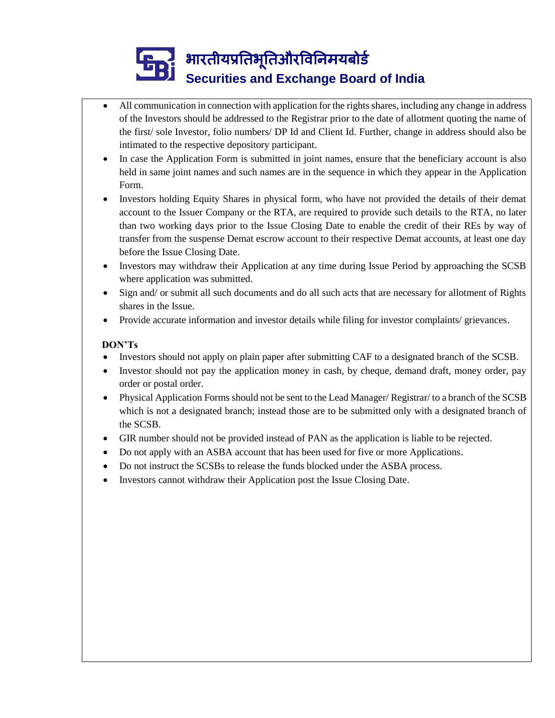- All communication in connection with application for the rights shares, including any change in address of the Investors should be addressed to the Registrar prior to the date of allotment quoting the name of the first/ sole Investor, folio numbers/ DP Id and Client Id. Further, change in address should also be intimated to the respective depository participant.
- In case the Application Form is submitted in joint names, ensure that the beneficiary account is also held in same joint names and such names are in the sequence in which they appear in the Application Form.
- Investors holding Equity Shares in physical form, who have not provided the details of their demat account to the Issuer Company or the RTA, are required to provide such details to the RTA, no later than two working days prior to the Issue Closing Date to enable the credit of their REs by way of transfer from the suspense Demat escrow account to their respective Demat accounts, at least one day before the Issue Closing Date.
- Investors may withdraw their Application at any time during Issue Period by approaching the SCSB where application was submitted.
- Sign and/ or submit all such documents and do all such acts that are necessary for allotment of Rights shares in the Issue.
- Provide accurate information and investor details while filing for investor complaints/ grievances.

#### **DON'Ts**

- Investors should not apply on plain paper after submitting CAF to a designated branch of the SCSB.
- Investor should not pay the application money in cash, by cheque, demand draft, money order, pay order or postal order.
- Physical Application Forms should not be sent to the Lead Manager/ Registrar/ to a branch of the SCSB which is not a designated branch; instead those are to be submitted only with a designated branch of the SCSB.
- GIR number should not be provided instead of PAN as the application is liable to be rejected.
- Do not apply with an ASBA account that has been used for five or more Applications.
- Do not instruct the SCSBs to release the funds blocked under the ASBA process.
- Investors cannot withdraw their Application post the Issue Closing Date.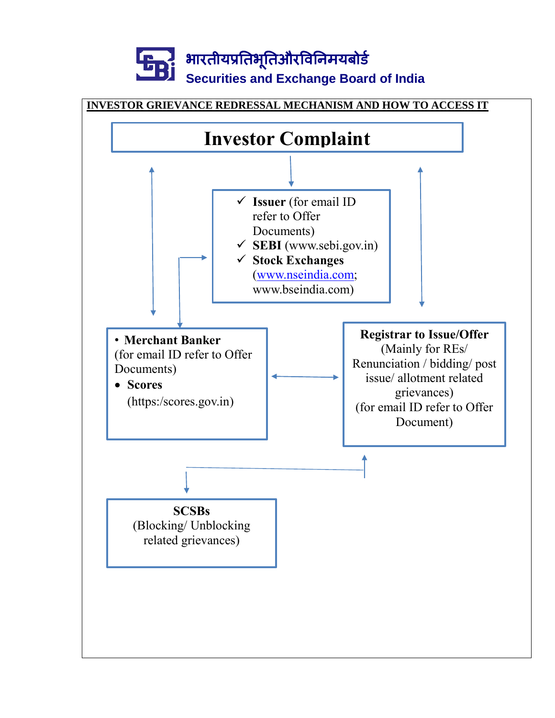

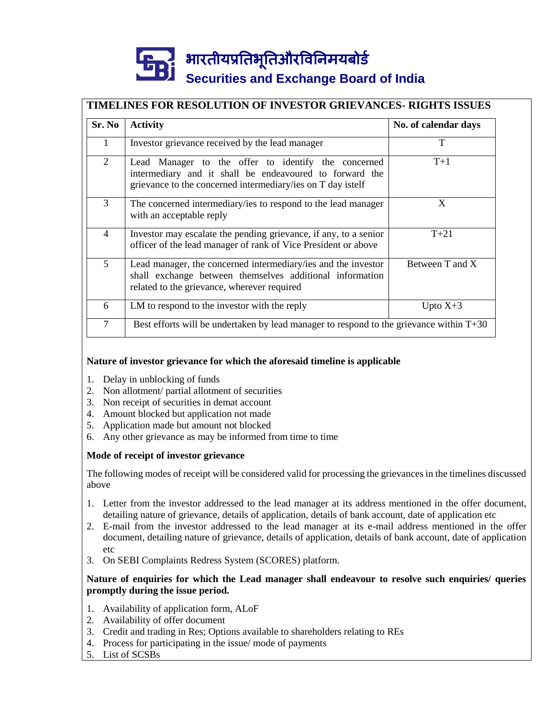### **TIMELINES FOR RESOLUTION OF INVESTOR GRIEVANCES- RIGHTS ISSUES**

| Sr. No         | <b>Activity</b>                                                                                                                                                               | No. of calendar days |  |
|----------------|-------------------------------------------------------------------------------------------------------------------------------------------------------------------------------|----------------------|--|
| 1              | Investor grievance received by the lead manager                                                                                                                               | T                    |  |
| 2              | Lead Manager to the offer to identify the concerned<br>intermediary and it shall be endeavoured to forward the<br>grievance to the concerned intermediary/ies on T day istelf | $T+1$                |  |
| 3              | The concerned intermediary/ies to respond to the lead manager<br>with an acceptable reply                                                                                     | X                    |  |
| $\overline{4}$ | Investor may escalate the pending grievance, if any, to a senior<br>officer of the lead manager of rank of Vice President or above                                            | $T + 21$             |  |
| 5              | Lead manager, the concerned intermediary/ies and the investor<br>shall exchange between themselves additional information<br>related to the grievance, wherever required      | Between T and X      |  |
| 6              | LM to respond to the investor with the reply                                                                                                                                  | Upto $X+3$           |  |
| $\tau$         | Best efforts will be undertaken by lead manager to respond to the grievance within $T+30$                                                                                     |                      |  |

#### **Nature of investor grievance for which the aforesaid timeline is applicable**

- 1. Delay in unblocking of funds
- 2. Non allotment/ partial allotment of securities
- 3. Non receipt of securities in demat account
- 4. Amount blocked but application not made
- 5. Application made but amount not blocked
- 6. Any other grievance as may be informed from time to time

#### **Mode of receipt of investor grievance**

The following modes of receipt will be considered valid for processing the grievances in the timelines discussed above

- 1. Letter from the investor addressed to the lead manager at its address mentioned in the offer document, detailing nature of grievance, details of application, details of bank account, date of application etc
- 2. E-mail from the investor addressed to the lead manager at its e-mail address mentioned in the offer document, detailing nature of grievance, details of application, details of bank account, date of application  $A$
- 3. On SEBI Complaints Redress System (SCORES) platform.

#### **Nature of enquiries for which the Lead manager shall endeavour to resolve such enquiries/ queries promptly during the issue period.**

- 1. Availability of application form, ALoF
- 2. Availability of offer document
- 3. Credit and trading in Res; Options available to shareholders relating to REs
- 4. Process for participating in the issue/ mode of payments
- 5. List of SCSBs